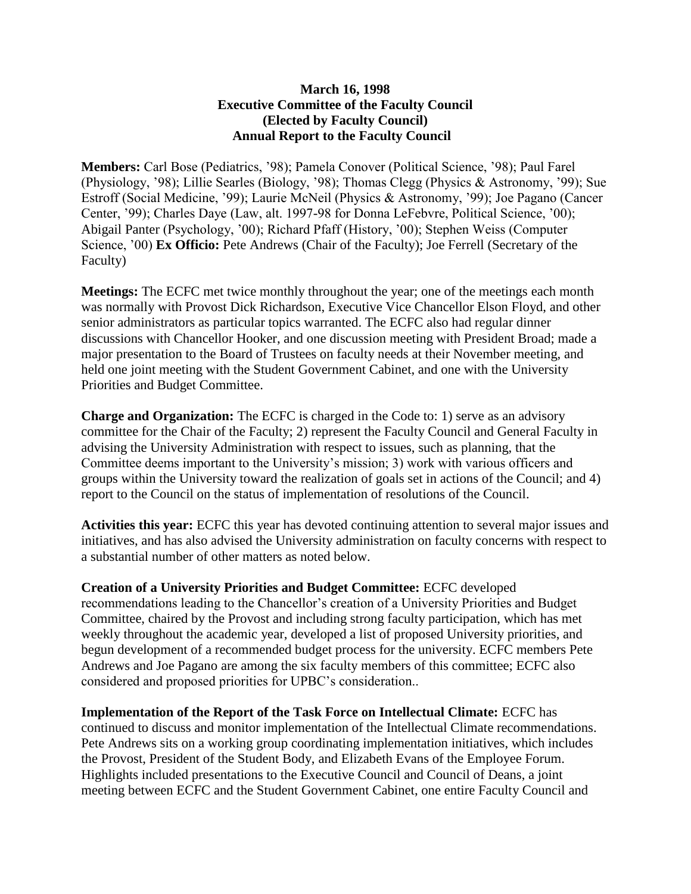## **March 16, 1998 Executive Committee of the Faculty Council (Elected by Faculty Council) Annual Report to the Faculty Council**

**Members:** Carl Bose (Pediatrics, '98); Pamela Conover (Political Science, '98); Paul Farel (Physiology, '98); Lillie Searles (Biology, '98); Thomas Clegg (Physics & Astronomy, '99); Sue Estroff (Social Medicine, '99); Laurie McNeil (Physics & Astronomy, '99); Joe Pagano (Cancer Center, '99); Charles Daye (Law, alt. 1997-98 for Donna LeFebvre, Political Science, '00); Abigail Panter (Psychology, '00); Richard Pfaff (History, '00); Stephen Weiss (Computer Science, '00) **Ex Officio:** Pete Andrews (Chair of the Faculty); Joe Ferrell (Secretary of the Faculty)

**Meetings:** The ECFC met twice monthly throughout the year; one of the meetings each month was normally with Provost Dick Richardson, Executive Vice Chancellor Elson Floyd, and other senior administrators as particular topics warranted. The ECFC also had regular dinner discussions with Chancellor Hooker, and one discussion meeting with President Broad; made a major presentation to the Board of Trustees on faculty needs at their November meeting, and held one joint meeting with the Student Government Cabinet, and one with the University Priorities and Budget Committee.

**Charge and Organization:** The ECFC is charged in the Code to: 1) serve as an advisory committee for the Chair of the Faculty; 2) represent the Faculty Council and General Faculty in advising the University Administration with respect to issues, such as planning, that the Committee deems important to the University's mission; 3) work with various officers and groups within the University toward the realization of goals set in actions of the Council; and 4) report to the Council on the status of implementation of resolutions of the Council.

**Activities this year:** ECFC this year has devoted continuing attention to several major issues and initiatives, and has also advised the University administration on faculty concerns with respect to a substantial number of other matters as noted below.

**Creation of a University Priorities and Budget Committee:** ECFC developed recommendations leading to the Chancellor's creation of a University Priorities and Budget Committee, chaired by the Provost and including strong faculty participation, which has met weekly throughout the academic year, developed a list of proposed University priorities, and begun development of a recommended budget process for the university. ECFC members Pete Andrews and Joe Pagano are among the six faculty members of this committee; ECFC also considered and proposed priorities for UPBC's consideration..

**Implementation of the Report of the Task Force on Intellectual Climate:** ECFC has continued to discuss and monitor implementation of the Intellectual Climate recommendations. Pete Andrews sits on a working group coordinating implementation initiatives, which includes the Provost, President of the Student Body, and Elizabeth Evans of the Employee Forum. Highlights included presentations to the Executive Council and Council of Deans, a joint meeting between ECFC and the Student Government Cabinet, one entire Faculty Council and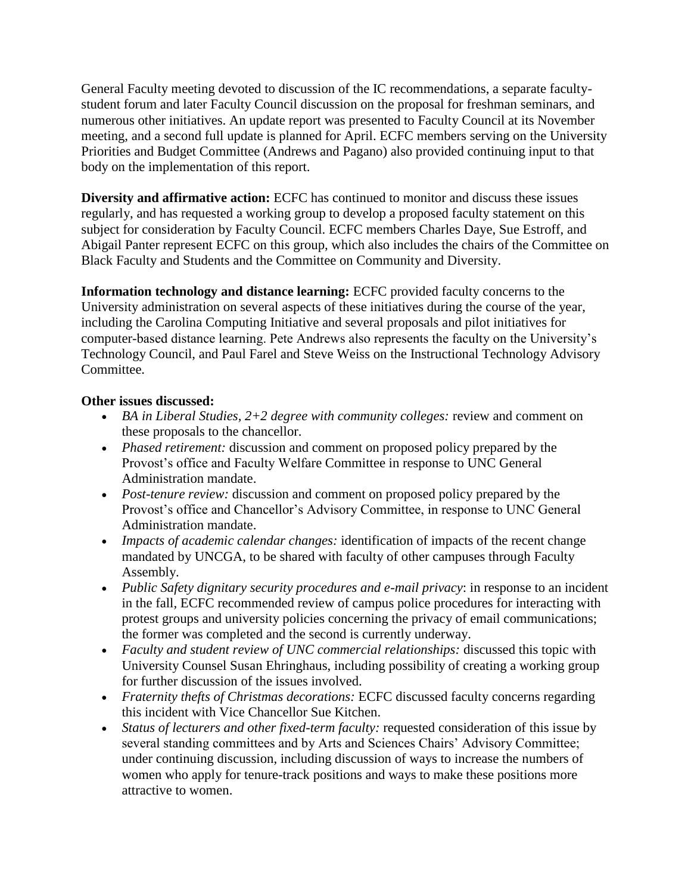General Faculty meeting devoted to discussion of the IC recommendations, a separate facultystudent forum and later Faculty Council discussion on the proposal for freshman seminars, and numerous other initiatives. An update report was presented to Faculty Council at its November meeting, and a second full update is planned for April. ECFC members serving on the University Priorities and Budget Committee (Andrews and Pagano) also provided continuing input to that body on the implementation of this report.

**Diversity and affirmative action:** ECFC has continued to monitor and discuss these issues regularly, and has requested a working group to develop a proposed faculty statement on this subject for consideration by Faculty Council. ECFC members Charles Daye, Sue Estroff, and Abigail Panter represent ECFC on this group, which also includes the chairs of the Committee on Black Faculty and Students and the Committee on Community and Diversity.

**Information technology and distance learning:** ECFC provided faculty concerns to the University administration on several aspects of these initiatives during the course of the year, including the Carolina Computing Initiative and several proposals and pilot initiatives for computer-based distance learning. Pete Andrews also represents the faculty on the University's Technology Council, and Paul Farel and Steve Weiss on the Instructional Technology Advisory Committee.

## **Other issues discussed:**

- *BA in Liberal Studies, 2+2 degree with community colleges:* review and comment on these proposals to the chancellor.
- *Phased retirement:* discussion and comment on proposed policy prepared by the Provost's office and Faculty Welfare Committee in response to UNC General Administration mandate.
- *Post-tenure review:* discussion and comment on proposed policy prepared by the Provost's office and Chancellor's Advisory Committee, in response to UNC General Administration mandate.
- *Impacts of academic calendar changes:* identification of impacts of the recent change mandated by UNCGA, to be shared with faculty of other campuses through Faculty Assembly.
- *Public Safety dignitary security procedures and e-mail privacy*: in response to an incident in the fall, ECFC recommended review of campus police procedures for interacting with protest groups and university policies concerning the privacy of email communications; the former was completed and the second is currently underway.
- *Faculty and student review of UNC commercial relationships:* discussed this topic with University Counsel Susan Ehringhaus, including possibility of creating a working group for further discussion of the issues involved.
- *Fraternity thefts of Christmas decorations:* ECFC discussed faculty concerns regarding this incident with Vice Chancellor Sue Kitchen.
- *Status of lecturers and other fixed-term faculty:* requested consideration of this issue by several standing committees and by Arts and Sciences Chairs' Advisory Committee; under continuing discussion, including discussion of ways to increase the numbers of women who apply for tenure-track positions and ways to make these positions more attractive to women.